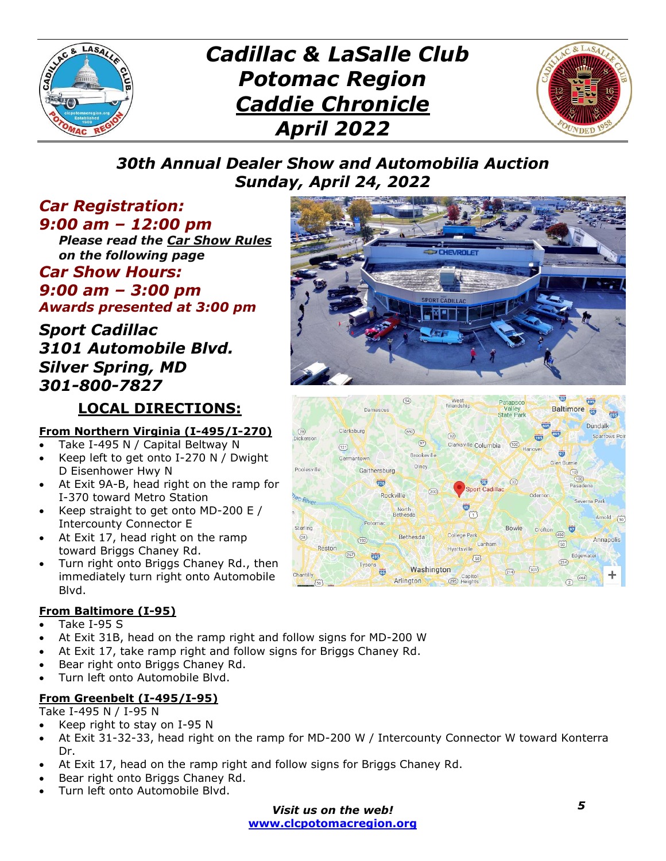

# *Cadillac & LaSalle Club Potomac Region Caddie Chronicle April 2022*



### *30th Annual Dealer Show and Automobilia Auction Sunday, April 24, 2022*

#### *Car Registration: 9:00 am – 12:00 pm*

*Please read the Car Show Rules on the following page*

### *Car Show Hours: 9:00 am – 3:00 pm Awards presented at 3:00 pm*

### *Sport Cadillac 3101 Automobile Blvd. Silver Spring, MD 301-800-7827*

## **LOCAL DIRECTIONS:**

#### **From Northern Virginia (I-495/I-270)**

- Take I-495 N / Capital Beltway N
- Keep left to get onto I-270 N / Dwight D Eisenhower Hwy N
- At Exit 9A-B, head right on the ramp for I-370 toward Metro Station
- Keep straight to get onto MD-200 E / Intercounty Connector E
- At Exit 17, head right on the ramp toward Briggs Chaney Rd.
- Turn right onto Briggs Chaney Rd., then immediately turn right onto Automobile Blvd.

#### **From Baltimore (I-95)**

- Take I-95 S
- At Exit 31B, head on the ramp right and follow signs for MD-200 W
- At Exit 17, take ramp right and follow signs for Briggs Chaney Rd.
- Bear right onto Briggs Chaney Rd.
- Turn left onto Automobile Blvd.

#### **From Greenbelt (I-495/I-95)**

#### Take I-495 N / I-95 N

- Keep right to stay on I-95 N
- At Exit 31-32-33, head right on the ramp for MD-200 W / Intercounty Connector W toward Konterra Dr.
- At Exit 17, head on the ramp right and follow signs for Briggs Chaney Rd.
- Bear right onto Briggs Chaney Rd.
- Turn left onto Automobile Blvd.